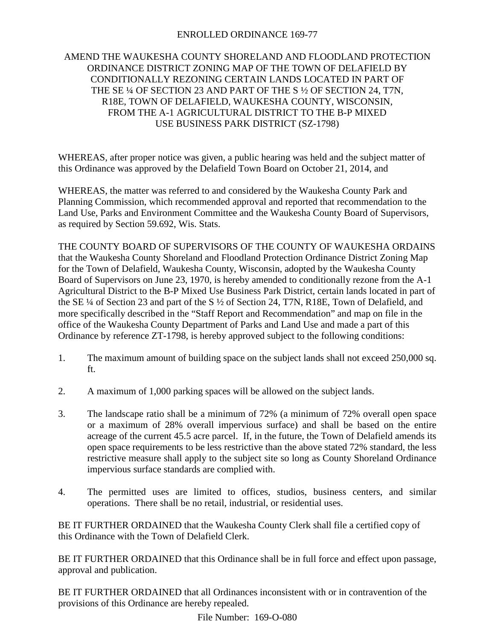## ENROLLED ORDINANCE 169-77

## AMEND THE WAUKESHA COUNTY SHORELAND AND FLOODLAND PROTECTION ORDINANCE DISTRICT ZONING MAP OF THE TOWN OF DELAFIELD BY CONDITIONALLY REZONING CERTAIN LANDS LOCATED IN PART OF THE SE ¼ OF SECTION 23 AND PART OF THE S ½ OF SECTION 24, T7N, R18E, TOWN OF DELAFIELD, WAUKESHA COUNTY, WISCONSIN, FROM THE A-1 AGRICULTURAL DISTRICT TO THE B-P MIXED USE BUSINESS PARK DISTRICT (SZ-1798)

WHEREAS, after proper notice was given, a public hearing was held and the subject matter of this Ordinance was approved by the Delafield Town Board on October 21, 2014, and

WHEREAS, the matter was referred to and considered by the Waukesha County Park and Planning Commission, which recommended approval and reported that recommendation to the Land Use, Parks and Environment Committee and the Waukesha County Board of Supervisors, as required by Section 59.692, Wis. Stats.

THE COUNTY BOARD OF SUPERVISORS OF THE COUNTY OF WAUKESHA ORDAINS that the Waukesha County Shoreland and Floodland Protection Ordinance District Zoning Map for the Town of Delafield, Waukesha County, Wisconsin, adopted by the Waukesha County Board of Supervisors on June 23, 1970, is hereby amended to conditionally rezone from the A-1 Agricultural District to the B-P Mixed Use Business Park District, certain lands located in part of the SE ¼ of Section 23 and part of the S ½ of Section 24, T7N, R18E, Town of Delafield, and more specifically described in the "Staff Report and Recommendation" and map on file in the office of the Waukesha County Department of Parks and Land Use and made a part of this Ordinance by reference ZT-1798, is hereby approved subject to the following conditions:

- 1. The maximum amount of building space on the subject lands shall not exceed 250,000 sq. ft.
- 2. A maximum of 1,000 parking spaces will be allowed on the subject lands.
- 3. The landscape ratio shall be a minimum of 72% (a minimum of 72% overall open space or a maximum of 28% overall impervious surface) and shall be based on the entire acreage of the current 45.5 acre parcel. If, in the future, the Town of Delafield amends its open space requirements to be less restrictive than the above stated 72% standard, the less restrictive measure shall apply to the subject site so long as County Shoreland Ordinance impervious surface standards are complied with.
- 4. The permitted uses are limited to offices, studios, business centers, and similar operations. There shall be no retail, industrial, or residential uses.

BE IT FURTHER ORDAINED that the Waukesha County Clerk shall file a certified copy of this Ordinance with the Town of Delafield Clerk.

BE IT FURTHER ORDAINED that this Ordinance shall be in full force and effect upon passage, approval and publication.

BE IT FURTHER ORDAINED that all Ordinances inconsistent with or in contravention of the provisions of this Ordinance are hereby repealed.

File Number: 169-O-080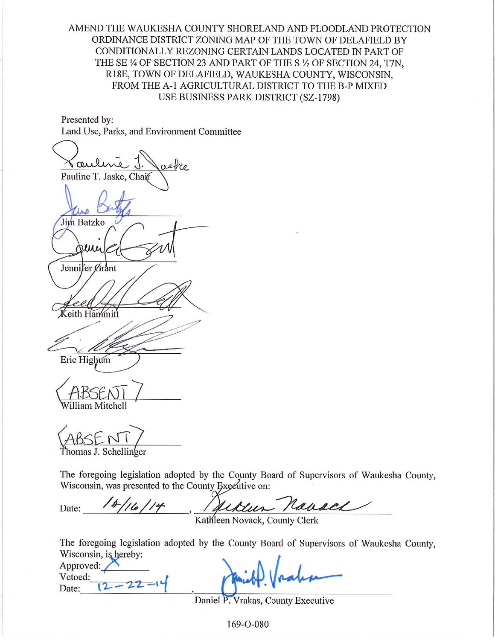AMEND THE WAUKESHA COUNTY SHORELAND AND FLOODLAND PROTECTION ORDINANCE DISTRICT ZONING MAP OF THE TOWN OF DELAFIELD BY CONDITIONALLY REZONING CERTAIN LANDS LOCATED IN PART OF THE SE 1/4 OF SECTION 23 AND PART OF THE S 1/2 OF SECTION 24, T7N, R18E, TOWN OF DELAFIELD, WAUKESHA COUNTY, WISCONSIN, FROM THE A-1 AGRICULTURAL DISTRICT TO THE B-P MIXED USE BUSINESS PARK DISTRICT (SZ-1798)

Presented by: Land Use, Parks, and Environment Committee

aske (au Pauline T. Jaske, Chait Jim Batzko Deue Jennifer Grant eith Hammitt Eric Highum Villiam Mitchell

The foregoing legislation adopted by the County Board of Supervisors of Waukesha County, Wisconsin, was presented to the County Executive on:

Ukur Navael  $18/16/14$ Date:

Kathleen Novack, County Clerk

The foregoing legislation adopted by the County Board of Supervisors of Waukesha County, Wisconsin, is hereby:

Approved: Vetoed:  $12 - 22 - 1$ Date:

Daniel P. Vrakas, County Executive

169-O-080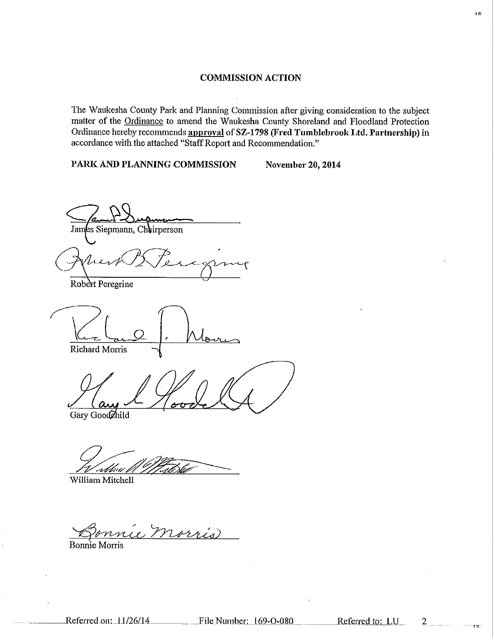#### **COMMISSION ACTION**

The Waukesha County Park and Planning Commission after giving consideration to the subject matter of the Ordinance to amend the Waukesha County Shoreland and Floodland Protection Ordinance hereby recommends approval of SZ-1798 (Fred Tumblebrook Ltd. Partnership) in accordance with the attached "Staff Report and Recommendation."

PARK AND PLANNING COMMISSION

November 20, 2014

James Siepmann, Chairperson

Robert Peregrine

Richard Morris

Gary Goodehild

rbb:l

William Mitchell

morris

**Bonnie Morris** 

 $\overline{2}$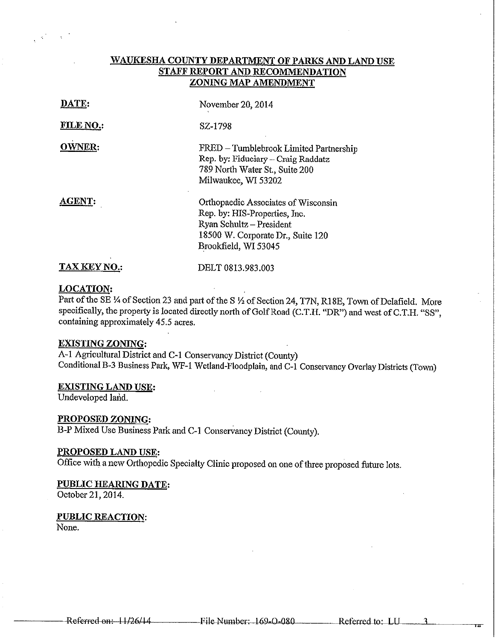## WAUKESHA COUNTY DEPARTMENT OF PARKS AND LAND USE STAFF REPORT AND RECOMMENDATION ZONING MAP AMENDMENT

| DATE:               | November 20, 2014                                                                                                                                             |
|---------------------|---------------------------------------------------------------------------------------------------------------------------------------------------------------|
| <b>FILE NO.:</b>    | SZ-1798                                                                                                                                                       |
| <b>OWNER:</b>       | FRED - Tumblebrook Limited Partnership<br>Rep. by: Fiduciary - Craig Raddatz<br>789 North Water St., Suite 200<br>Milwaukee, WI 53202                         |
| <b>AGENT:</b>       | Orthopaedic Associates of Wisconsin<br>Rep. by: HIS-Properties, Inc.<br>Ryan Schultz - President<br>18500 W. Corporate Dr., Suite 120<br>Brookfield, WI 53045 |
| <b>TAX KEY NO.:</b> | DELT 0813.983.003                                                                                                                                             |

#### **LOCATION:**

Part of the SE 1/4 of Section 23 and part of the S 1/2 of Section 24, T7N, R18E, Town of Delafield. More specifically, the property is located directly north of Golf Road (C.T.H. "DR") and west of C.T.H. "SS", containing approximately 45.5 acres.

## **EXISTING ZONING:**

A-1 Agricultural District and C-1 Conservancy District (County) Conditional B-3 Business Park, WF-1 Wetland-Floodplain, and C-1 Conservancy Overlay Districts (Town)

## **EXISTING LAND USE:**

Undeveloped land.

#### PROPOSED ZONING:

B-P Mixed Use Business Park and C-1 Conservancy District (County).

#### PROPOSED LAND USE:

Office with a new Orthopedic Specialty Clinic proposed on one of three proposed future lots.

## PUBLIC HEARING DATE:

October 21, 2014.

#### **PUBLIC REACTION:**

None.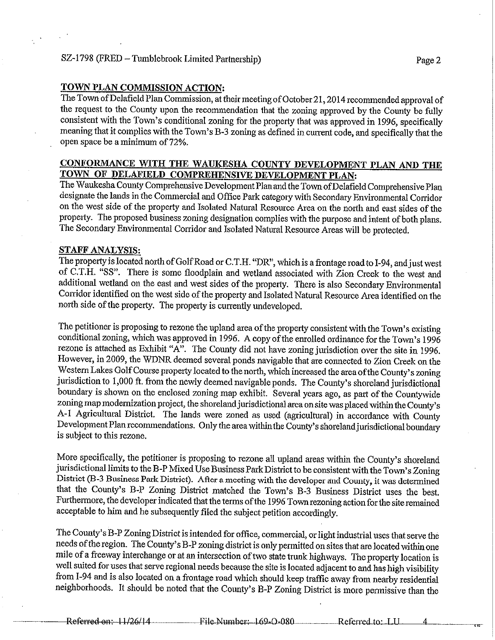## SZ-1798 (FRED – Tumblebrook Limited Partnership)

#### TOWN PLAN COMMISSION ACTION:

The Town of Delafield Plan Commission, at their meeting of October 21, 2014 recommended approval of the request to the County upon the recommendation that the zoning approved by the County be fully consistent with the Town's conditional zoning for the property that was approved in 1996, specifically meaning that it complies with the Town's B-3 zoning as defined in current code, and specifically that the open space be a minimum of 72%.

## CONFORMANCE WITH THE WAUKESHA COUNTY DEVELOPMENT PLAN AND THE TOWN OF DELAFIELD COMPREHENSIVE DEVELOPMENT PLAN:

The Waukesha County Comprehensive Development Plan and the Town of Delafield Comprehensive Plan designate the lands in the Commercial and Office Park category with Secondary Environmental Corridor on the west side of the property and Isolated Natural Resource Area on the north and east sides of the property. The proposed business zoning designation complies with the purpose and intent of both plans. The Secondary Environmental Corridor and Isolated Natural Resource Areas will be protected.

#### **STAFF ANALYSIS:**

The property is located north of Golf Road or C.T.H. "DR", which is a frontage road to I-94, and just west of C.T.H. "SS". There is some floodplain and wetland associated with Zion Creek to the west and additional wetland on the east and west sides of the property. There is also Secondary Environmental Corridor identified on the west side of the property and Isolated Natural Resource Area identified on the north side of the property. The property is currently undeveloped.

The petitioner is proposing to rezone the upland area of the property consistent with the Town's existing conditional zoning, which was approved in 1996. A copy of the enrolled ordinance for the Town's 1996 rezone is attached as Exhibit " $A^{3}$ . The County did not have zoning jurisdiction over the site in 1996. However, in 2009, the WDNR deemed several ponds navigable that are connected to Zion Creek on the Western Lakes Golf Course property located to the north, which increased the area of the County's zoning jurisdiction to 1,000 ft. from the newly deemed navigable ponds. The County's shoreland jurisdictional boundary is shown on the enclosed zoning map exhibit. Several years ago, as part of the Countywide zoning map modernization project, the shoreland jurisdictional area on site was placed within the County's A-1 Agricultural District. The lands were zoned as used (agricultural) in accordance with County Development Plan recommendations. Only the area within the County's shoreland jurisdictional boundary is subject to this rezone.

More specifically, the petitioner is proposing to rezone all upland areas within the County's shoreland jurisdictional limits to the B-P Mixed Use Business Park District to be consistent with the Town's Zoning District (B-3 Business Park District). After a meeting with the developer and County, it was determined that the County's B-P Zoning District matched the Town's B-3 Business District uses the best. Furthermore, the developer indicated that the terms of the 1996 Town rezoning action for the site remained acceptable to him and he subsequently filed the subject petition accordingly.

The County's B-P Zoning District is intended for office, commercial, or light industrial uses that serve the needs of the region. The County's B-P zoning district is only permitted on sites that are located within one mile of a freeway interchange or at an intersection of two state trunk highways. The property location is well suited for uses that serve regional needs because the site is located adjacent to and has high visibility from I-94 and is also located on a frontage road which should keep traffic away from nearby residential neighborhoods. It should be noted that the County's B-P Zoning District is more permissive than the

Page 2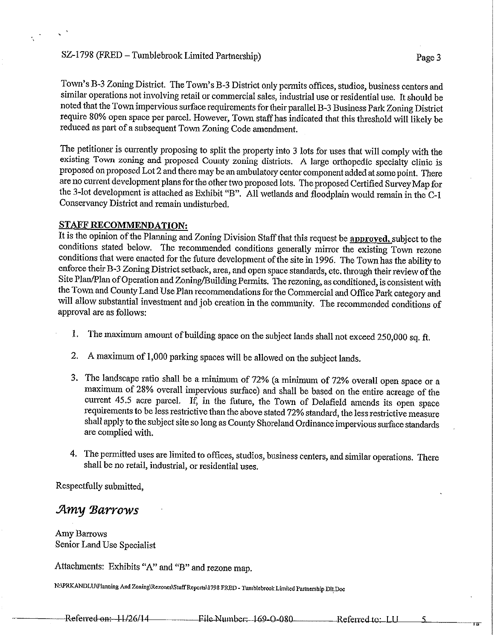## SZ-1798 (FRED – Tumblebrook Limited Partnership)

Town's B-3 Zoning District. The Town's B-3 District only permits offices, studios, business centers and similar operations not involving retail or commercial sales, industrial use or residential use. It should be noted that the Town impervious surface requirements for their parallel B-3 Business Park Zoning District require 80% open space per parcel. However, Town staff has indicated that this threshold will likely be reduced as part of a subsequent Town Zoning Code amendment.

The petitioner is currently proposing to split the property into 3 lots for uses that will comply with the existing Town zoning and proposed County zoning districts. A large orthopedic specialty clinic is proposed on proposed Lot 2 and there may be an ambulatory center component added at some point. There are no current development plans for the other two proposed lots. The proposed Certified Survey Map for the 3-lot development is attached as Exhibit "B". All wetlands and floodplain would remain in the C-1 Conservancy District and remain undisturbed.

#### **STAFF RECOMMENDATION:**

It is the opinion of the Planning and Zoning Division Staff that this request be approved, subject to the conditions stated below. The recommended conditions generally mirror the existing Town rezone conditions that were enacted for the future development of the site in 1996. The Town has the ability to enforce their B-3 Zoning District setback, area, and open space standards, etc. through their review of the Site Plan/Plan of Operation and Zoning/Building Permits. The rezoning, as conditioned, is consistent with the Town and County Land Use Plan recommendations for the Commercial and Office Park category and will allow substantial investment and job creation in the community. The recommended conditions of approval are as follows:

- The maximum amount of building space on the subject lands shall not exceed 250,000 sq. ft. 1.
- $\overline{2}$ . A maximum of 1,000 parking spaces will be allowed on the subject lands.
- 3. The landscape ratio shall be a minimum of 72% (a minimum of 72% overall open space or a maximum of 28% overall impervious surface) and shall be based on the entire acreage of the current 45.5 acre parcel. If, in the future, the Town of Delafield amends its open space requirements to be less restrictive than the above stated 72% standard, the less restrictive measure shall apply to the subject site so long as County Shoreland Ordinance impervious surface standards are complied with.
- 4. The permitted uses are limited to offices, studios, business centers, and similar operations. There shall be no retail, industrial, or residential uses.

Respectfully submitted.

# Amy Barrows

Amy Barrows Senior Land Use Specialist

Attachments: Exhibits "A" and "B" and rezone map.

N:\PRKANDLU\Planning And Zoning\Rezones\Staff Reports\1798 FRED - Tumblebrook Limited Partnership Dlt.Doc

Referred on: 11/26/14 File Number: 169-Q-080 Referred to: LU  $\overline{\mathbf{S}}$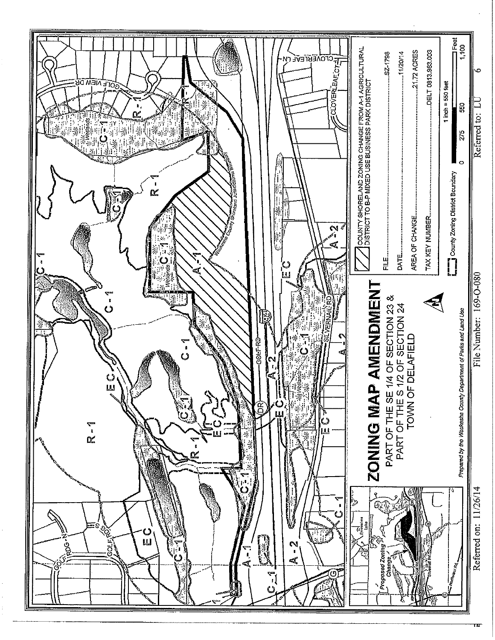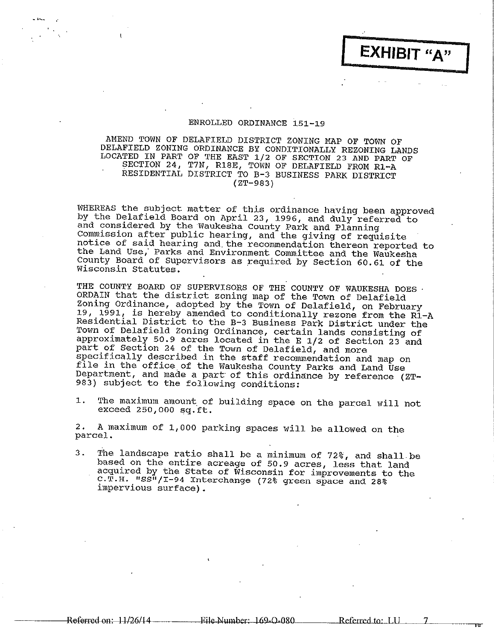#### ENROLLED ORDINANCE 151-19

AMEND TOWN OF DELAFIELD DISTRICT ZONING MAP OF TOWN OF DELAFIELD ZONING ORDINANCE BY CONDITIONALLY REZONING LANDS LOCATED IN PART OF THE EAST 1/2 OF SECTION 23 AND PART OF SECTION 24, T7N, R18E, TOWN OF DELAFIELD FROM R1-A RESIDENTIAL DISTRICT TO B-3 BUSINESS PARK DISTRICT  $(ZT-983)$ 

WHEREAS the subject matter of this ordinance having been approved by the Delafield Board on April 23, 1996, and duly referred to<br>and considered by the Waukesha County Park and Planning Commission after public hearing, and the giving of requisite notice of said hearing and the recommendation thereon reported to the Land Use, Parks and Environment Committee and the Waukesha County Board of Supervisors as required by Section 60.61 of the Wisconsin Statutes.

THE COUNTY BOARD OF SUPERVISORS OF THE COUNTY OF WAUKESHA DOES. ORDAIN that the district zoning map of the Town of Delafield Zoning Ordinance, adopted by the Town of Delafield, on February 19, 1991, is hereby amended to conditionally rezone from the R1-A Residential District to the B-3 Business Park District under the Town of Delafield Zoning Ordinance, certain lands consisting of approximately 50.9 acres located in the E 1/2 of Section 23 and part of Section 24 of the Town of Delafield, and more specifically described in the staff recommendation and map on file in the office of the Waukesha County Parks and Land Use Department, and made a part of this ordinance by reference (ZT-983) subject to the following conditions:

The maximum amount of building space on the parcel will not 1. exceed 250,000 sq.ft.

A maximum of 1,000 parking spaces will be allowed on the  $\mathbf{2}$  . parcel.

The landscape ratio shall be a minimum of 72%, and shall be  $3.$ based on the entire acreage of 50.9 acres, less that land acquired by the State of Wisconsin for improvements to the C.T.H. "SS"/I-94 Interchange (72% green space and 28% impervious surface).

Referred on: 11/26/14 —————

\_Referred.to: LU\_\_

 $\tau$ 

EXHIBIT "A"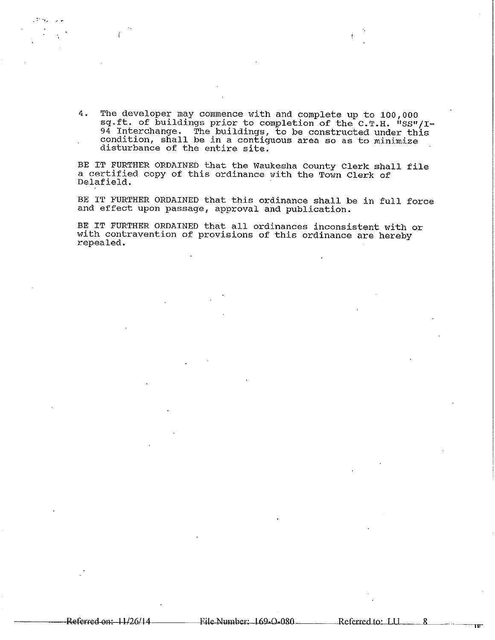4. The developer may commence with and complete up to 100,000 sq.ft. of buildings prior to completion of the C.T.H. "SS"/I-94 Interchange. The buildings, to be constructed under this condition, shall be in a contiguous area so as to minimize disturbance of the entire site.

BE IT FURTHER ORDAINED that the Waukesha County Clerk shall file a certified copy of this ordinance with the Town Clerk of Delafield.

BE IT FURTHER ORDAINED that this ordinance shall be in full force and effect upon passage, approval and publication.

BE IT FURTHER ORDAINED that all ordinances inconsistent with or with contravention of provisions of this ordinance are hereby repealed.

R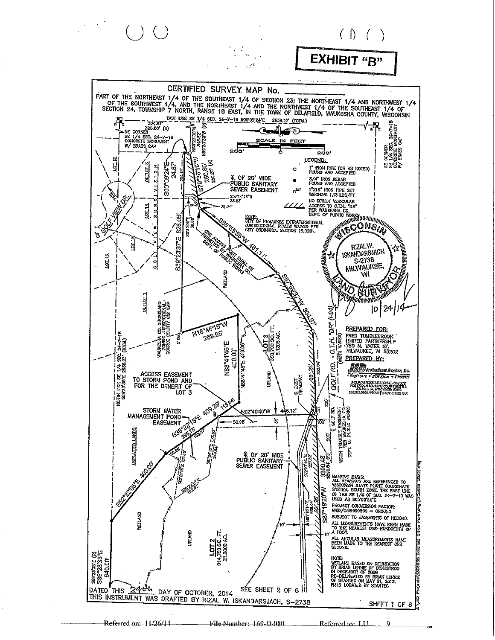

 $\overline{9}$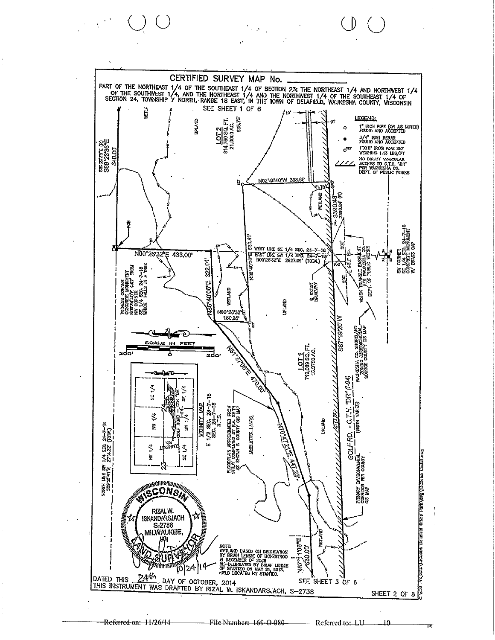

 $\ddot{\phantom{1}}$ 

 $\left(\begin{array}{c} \end{array}\right)$ 

 $10$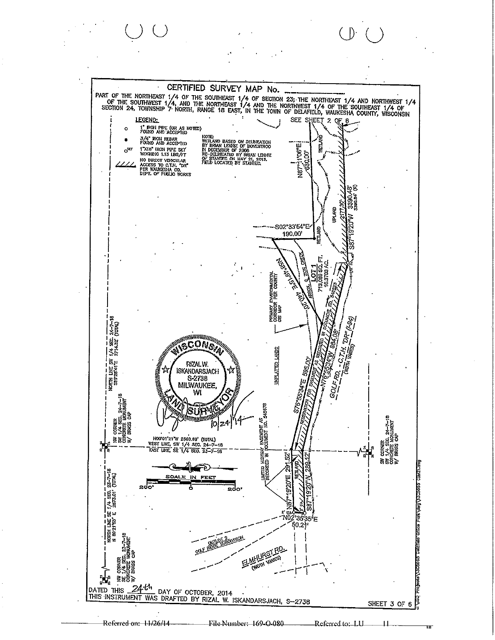